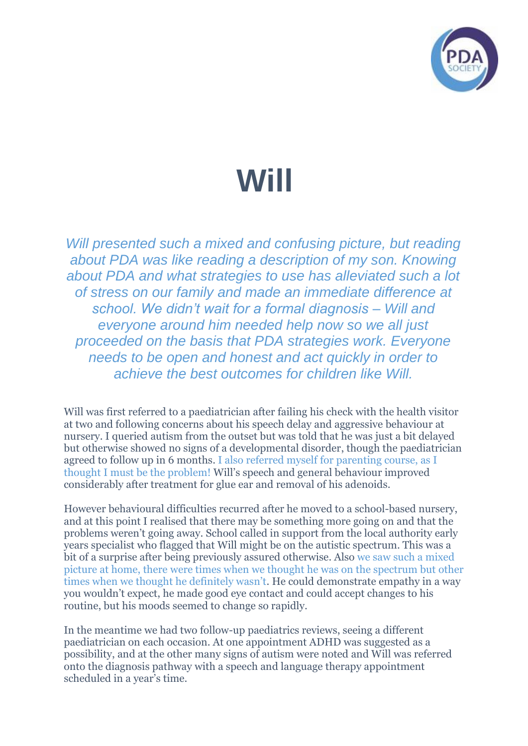

## **Will**

*Will presented such a mixed and confusing picture, but reading about PDA was like reading a description of my son. Knowing about PDA and what strategies to use has alleviated such a lot of stress on our family and made an immediate difference at school. We didn't wait for a formal diagnosis – Will and everyone around him needed help now so we all just proceeded on the basis that PDA strategies work. Everyone needs to be open and honest and act quickly in order to achieve the best outcomes for children like Will.*

Will was first referred to a paediatrician after failing his check with the health visitor at two and following concerns about his speech delay and aggressive behaviour at nursery. I queried autism from the outset but was told that he was just a bit delayed but otherwise showed no signs of a developmental disorder, though the paediatrician agreed to follow up in 6 months. I also referred myself for parenting course, as I thought I must be the problem! Will's speech and general behaviour improved considerably after treatment for glue ear and removal of his adenoids.

However behavioural difficulties recurred after he moved to a school-based nursery, and at this point I realised that there may be something more going on and that the problems weren't going away. School called in support from the local authority early years specialist who flagged that Will might be on the autistic spectrum. This was a bit of a surprise after being previously assured otherwise. Also we saw such a mixed picture at home, there were times when we thought he was on the spectrum but other times when we thought he definitely wasn't. He could demonstrate empathy in a way you wouldn't expect, he made good eye contact and could accept changes to his routine, but his moods seemed to change so rapidly.

In the meantime we had two follow-up paediatrics reviews, seeing a different paediatrician on each occasion. At one appointment ADHD was suggested as a possibility, and at the other many signs of autism were noted and Will was referred onto the diagnosis pathway with a speech and language therapy appointment scheduled in a year's time.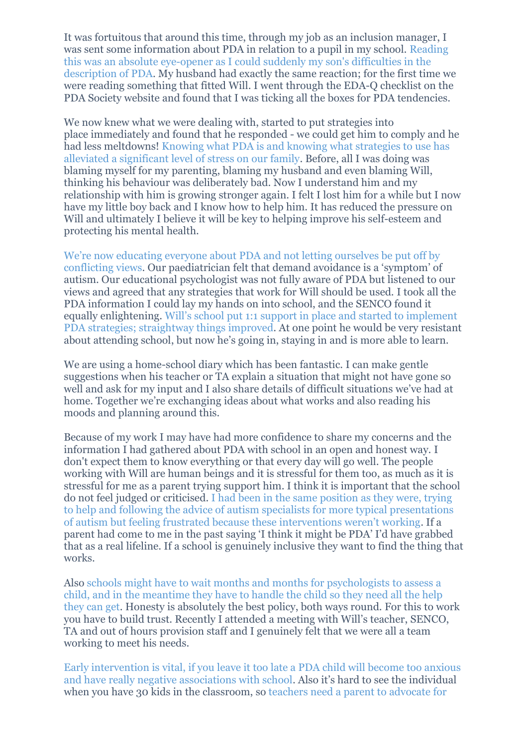It was fortuitous that around this time, through my job as an inclusion manager, I was sent some information about PDA in relation to a pupil in my school. Reading this was an absolute eye-opener as I could suddenly my son's difficulties in the description of PDA. My husband had exactly the same reaction; for the first time we were reading something that fitted Will. I went through the EDA-Q checklist on the PDA Society website and found that I was ticking all the boxes for PDA tendencies.

We now knew what we were dealing with, started to put strategies into place immediately and found that he responded - we could get him to comply and he had less meltdowns! Knowing what PDA is and knowing what strategies to use has alleviated a significant level of stress on our family. Before, all I was doing was blaming myself for my parenting, blaming my husband and even blaming Will, thinking his behaviour was deliberately bad. Now I understand him and my relationship with him is growing stronger again. I felt I lost him for a while but I now have my little boy back and I know how to help him. It has reduced the pressure on Will and ultimately I believe it will be key to helping improve his self-esteem and protecting his mental health.

We're now educating everyone about PDA and not letting ourselves be put off by conflicting views. Our paediatrician felt that demand avoidance is a 'symptom' of autism. Our educational psychologist was not fully aware of PDA but listened to our views and agreed that any strategies that work for Will should be used. I took all the PDA information I could lay my hands on into school, and the SENCO found it equally enlightening. Will's school put 1:1 support in place and started to implement PDA strategies; straightway things improved. At one point he would be very resistant about attending school, but now he's going in, staying in and is more able to learn.

We are using a home-school diary which has been fantastic. I can make gentle suggestions when his teacher or TA explain a situation that might not have gone so well and ask for my input and I also share details of difficult situations we've had at home. Together we're exchanging ideas about what works and also reading his moods and planning around this.

Because of my work I may have had more confidence to share my concerns and the information I had gathered about PDA with school in an open and honest way. I don't expect them to know everything or that every day will go well. The people working with Will are human beings and it is stressful for them too, as much as it is stressful for me as a parent trying support him. I think it is important that the school do not feel judged or criticised. I had been in the same position as they were, trying to help and following the advice of autism specialists for more typical presentations of autism but feeling frustrated because these interventions weren't working. If a parent had come to me in the past saying 'I think it might be PDA' I'd have grabbed that as a real lifeline. If a school is genuinely inclusive they want to find the thing that works.

Also schools might have to wait months and months for psychologists to assess a child, and in the meantime they have to handle the child so they need all the help they can get. Honesty is absolutely the best policy, both ways round. For this to work you have to build trust. Recently I attended a meeting with Will's teacher, SENCO, TA and out of hours provision staff and I genuinely felt that we were all a team working to meet his needs.

Early intervention is vital, if you leave it too late a PDA child will become too anxious and have really negative associations with school. Also it's hard to see the individual when you have 30 kids in the classroom, so teachers need a parent to advocate for